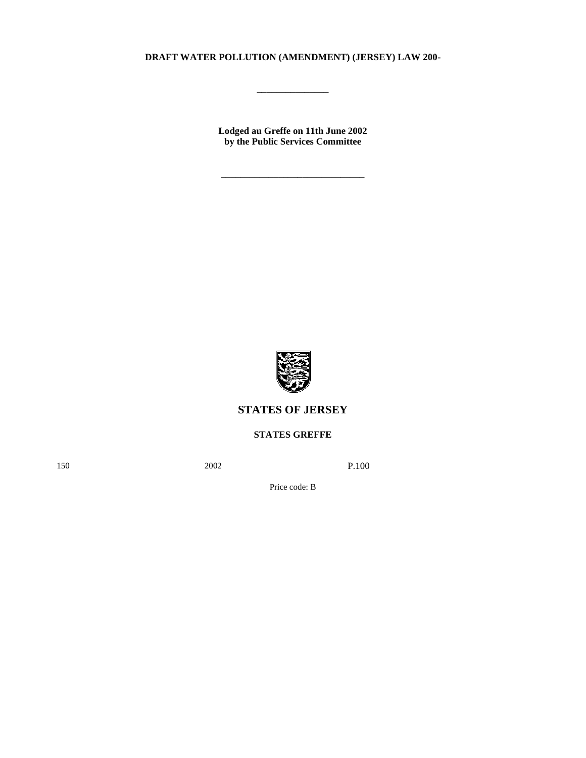# **DRAFT WATER POLLUTION (AMENDMENT) (JERSEY) LAW 200-**

**\_\_\_\_\_\_\_\_\_\_\_\_\_\_\_**

**Lodged au Greffe on 11th June 2002 by the Public Services Committee**

**\_\_\_\_\_\_\_\_\_\_\_\_\_\_\_\_\_\_\_\_\_\_\_\_\_\_\_\_\_\_**



# **STATES OF JERSEY**

**STATES GREFFE**

150 2002 P.100

Price code: B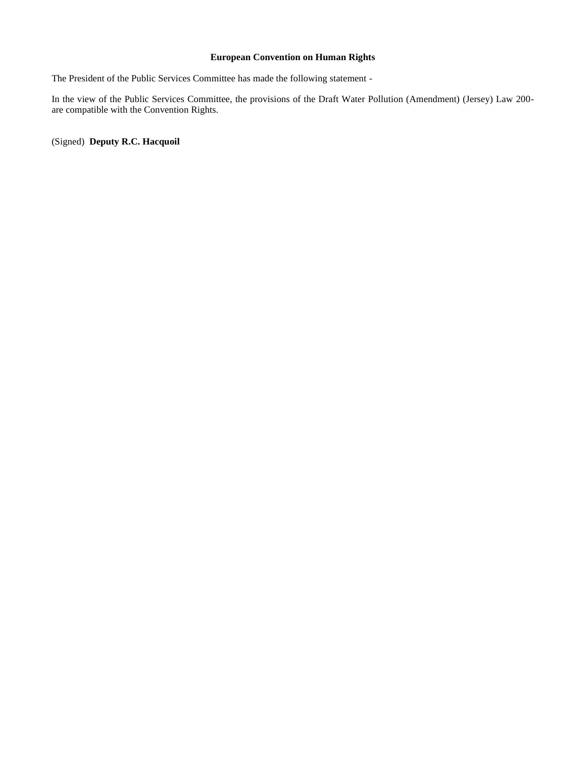## **European Convention on Human Rights**

The President of the Public Services Committee has made the following statement -

In the view of the Public Services Committee, the provisions of the Draft Water Pollution (Amendment) (Jersey) Law 200 are compatible with the Convention Rights.

(Signed) **Deputy R.C. Hacquoil**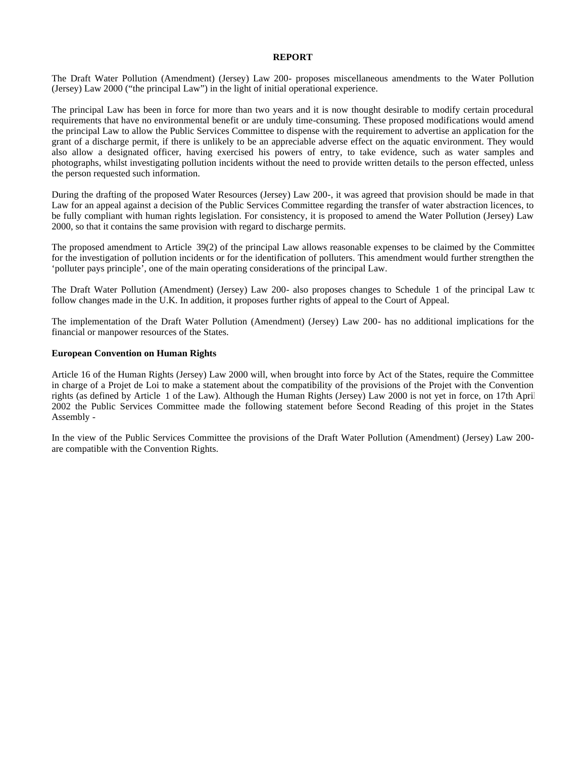#### **REPORT**

The Draft Water Pollution (Amendment) (Jersey) Law 200- proposes miscellaneous amendments to the Water Pollution (Jersey) Law 2000 ("the principal Law") in the light of initial operational experience.

The principal Law has been in force for more than two years and it is now thought desirable to modify certain procedural requirements that have no environmental benefit or are unduly time-consuming. These proposed modifications would amend the principal Law to allow the Public Services Committee to dispense with the requirement to advertise an application for the grant of a discharge permit, if there is unlikely to be an appreciable adverse effect on the aquatic environment. They would also allow a designated officer, having exercised his powers of entry, to take evidence, such as water samples and photographs, whilst investigating pollution incidents without the need to provide written details to the person effected, unless the person requested such information.

During the drafting of the proposed Water Resources (Jersey) Law 200-, it was agreed that provision should be made in that Law for an appeal against a decision of the Public Services Committee regarding the transfer of water abstraction licences, to be fully compliant with human rights legislation. For consistency, it is proposed to amend the Water Pollution (Jersey) Law 2000, so that it contains the same provision with regard to discharge permits.

The proposed amendment to Article 39(2) of the principal Law allows reasonable expenses to be claimed by the Committee for the investigation of pollution incidents or for the identification of polluters. This amendment would further strengthen the 'polluter pays principle', one of the main operating considerations of the principal Law.

The Draft Water Pollution (Amendment) (Jersey) Law 200- also proposes changes to Schedule 1 of the principal Law to follow changes made in the U.K. In addition, it proposes further rights of appeal to the Court of Appeal.

The implementation of the Draft Water Pollution (Amendment) (Jersey) Law 200- has no additional implications for the financial or manpower resources of the States.

### **European Convention on Human Rights**

Article 16 of the Human Rights (Jersey) Law 2000 will, when brought into force by Act of the States, require the Committee in charge of a Projet de Loi to make a statement about the compatibility of the provisions of the Projet with the Convention rights (as defined by Article 1 of the Law). Although the Human Rights (Jersey) Law 2000 is not yet in force, on 17th April 2002 the Public Services Committee made the following statement before Second Reading of this projet in the States Assembly -

In the view of the Public Services Committee the provisions of the Draft Water Pollution (Amendment) (Jersey) Law 200 are compatible with the Convention Rights.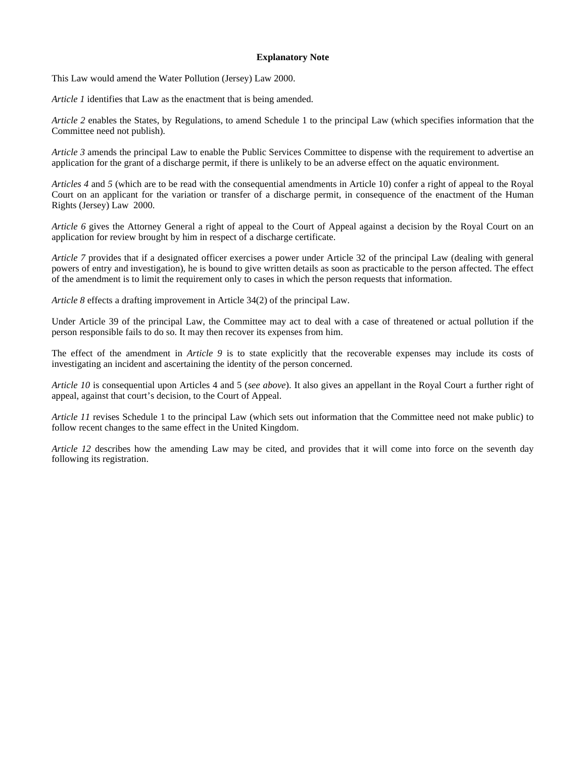## **Explanatory Note**

This Law would amend the Water Pollution (Jersey) Law 2000.

*Article 1* identifies that Law as the enactment that is being amended.

*Article 2* enables the States, by Regulations, to amend Schedule 1 to the principal Law (which specifies information that the Committee need not publish).

*Article 3* amends the principal Law to enable the Public Services Committee to dispense with the requirement to advertise an application for the grant of a discharge permit, if there is unlikely to be an adverse effect on the aquatic environment.

*Articles 4* and *5* (which are to be read with the consequential amendments in Article 10) confer a right of appeal to the Royal Court on an applicant for the variation or transfer of a discharge permit, in consequence of the enactment of the Human Rights (Jersey) Law 2000.

*Article 6* gives the Attorney General a right of appeal to the Court of Appeal against a decision by the Royal Court on an application for review brought by him in respect of a discharge certificate.

*Article 7* provides that if a designated officer exercises a power under Article 32 of the principal Law (dealing with general powers of entry and investigation), he is bound to give written details as soon as practicable to the person affected. The effect of the amendment is to limit the requirement only to cases in which the person requests that information.

*Article 8* effects a drafting improvement in Article 34(2) of the principal Law.

Under Article 39 of the principal Law, the Committee may act to deal with a case of threatened or actual pollution if the person responsible fails to do so. It may then recover its expenses from him.

The effect of the amendment in *Article 9* is to state explicitly that the recoverable expenses may include its costs of investigating an incident and ascertaining the identity of the person concerned.

*Article 10* is consequential upon Articles 4 and 5 (*see above*). It also gives an appellant in the Royal Court a further right of appeal, against that court's decision, to the Court of Appeal.

*Article 11* revises Schedule 1 to the principal Law (which sets out information that the Committee need not make public) to follow recent changes to the same effect in the United Kingdom.

*Article 12* describes how the amending Law may be cited, and provides that it will come into force on the seventh day following its registration.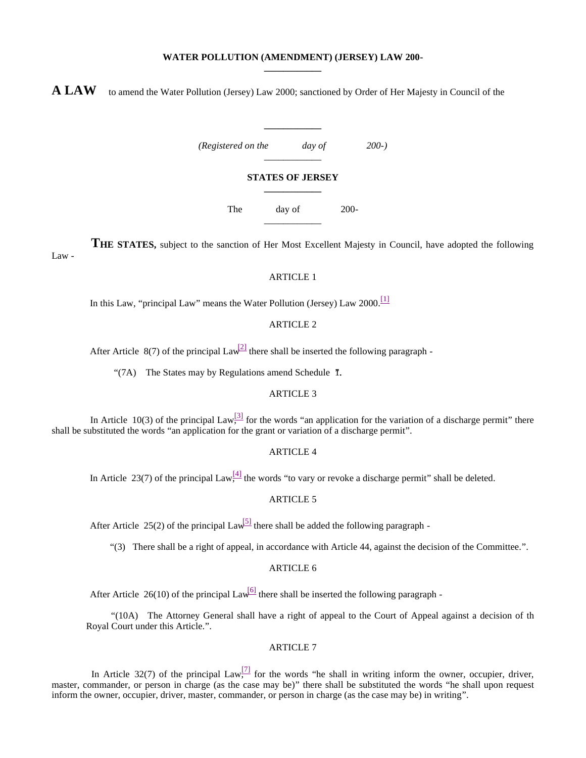## **WATER POLLUTION (AMENDMENT) (JERSEY) LAW 200- \_\_\_\_\_\_\_\_\_\_\_\_**

**A LAW** to amend the Water Pollution (Jersey) Law 2000; sanctioned by Order of Her Majesty in Council of the

*(Registered on the day of 200-)* \_\_\_\_\_\_\_\_\_\_\_\_

**\_\_\_\_\_\_\_\_\_\_\_\_**

#### **STATES OF JERSEY \_\_\_\_\_\_\_\_\_\_\_\_**

The day of 200-\_\_\_\_\_\_\_\_\_\_\_\_

**THE STATES,** subject to the sanction of Her Most Excellent Majesty in Council, have adopted the following Law -

#### ARTICLE 1

In this Law, "principal Law" means the Water Pollution (Jersey) Law  $2000$ .<sup>[1]</sup>

## ARTICLE 2

After Article 8(7) of the principal Law<sup>[2]</sup> there shall be inserted the following paragraph -

"(7A) The States may by Regulations amend Schedule 1.

## ARTICLE 3

In Article 10(3) of the principal Law,<sup>[3]</sup> for the words "an application for the variation of a discharge permit" there shall be substituted the words "an application for the grant or variation of a discharge permit".

#### ARTICLE 4

In Article 23(7) of the principal Law,  $\frac{4}{1}$  the words "to vary or revoke a discharge permit" shall be deleted.

#### ARTICLE 5

After Article 25(2) of the principal  $Law^{[5]}$  there shall be added the following paragraph -

"(3) There shall be a right of appeal, in accordance with Article 44, against the decision of the Committee.".

## ARTICLE 6

After Article 26(10) of the principal Law<sup>[6]</sup> there shall be inserted the following paragraph -

"(10A) The Attorney General shall have a right of appeal to the Court of Appeal against a decision of the Royal Court under this Article.".

## ARTICLE 7

In Article 32(7) of the principal Law,  $\frac{7}{1}$  for the words "he shall in writing inform the owner, occupier, driver, master, commander, or person in charge (as the case may be)" there shall be substituted the words "he shall upon request inform the owner, occupier, driver, master, commander, or person in charge (as the case may be) in writing".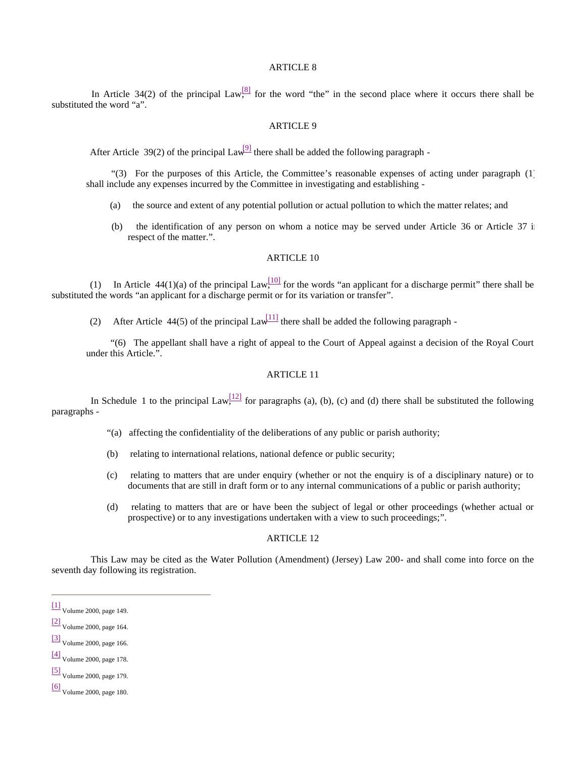#### ARTICLE 8

In Article 34(2) of the principal Law<sup>[8]</sup> for the word "the" in the second place where it occurs there shall be substituted the word "a".

## ARTICLE 9

After Article 39(2) of the principal Law<sup>[9]</sup> there shall be added the following paragraph -

 "(3) For the purposes of this Article, the Committee's reasonable expenses of acting under paragraph (1) shall include any expenses incurred by the Committee in investigating and establishing -

- (a) the source and extent of any potential pollution or actual pollution to which the matter relates; and
- (b) the identification of any person on whom a notice may be served under Article 36 or Article 37 in respect of the matter.".

## ARTICLE 10

(1) In Article 44(1)(a) of the principal Law,  $\frac{100}{101}$  for the words "an applicant for a discharge permit" there shall be substituted the words "an applicant for a discharge permit or for its variation or transfer".

(2) After Article 44(5) of the principal  $Law^{[11]}$  there shall be added the following paragraph -

 "(6) The appellant shall have a right of appeal to the Court of Appeal against a decision of the Royal Court under this Article.".

## ARTICLE 11

In Schedule 1 to the principal Law,  $\frac{12}{2}$  for paragraphs (a), (b), (c) and (d) there shall be substituted the following paragraphs -

- "(a) affecting the confidentiality of the deliberations of any public or parish authority;
- (b) relating to international relations, national defence or public security;
- (c) relating to matters that are under enquiry (whether or not the enquiry is of a disciplinary nature) or to documents that are still in draft form or to any internal communications of a public or parish authority;
- (d) relating to matters that are or have been the subject of legal or other proceedings (whether actual or prospective) or to any investigations undertaken with a view to such proceedings;".

### ARTICLE 12

 This Law may be cited as the Water Pollution (Amendment) (Jersey) Law 200- and shall come into force on the seventh day following its registration.

[3] Volume 2000, page 166.

[5] Volume 2000, page 179.

[6] Volume 2000, page 180.

<sup>[1]</sup> Volume 2000, page 149.

 $[2]$  Volume 2000, page 164.

<sup>[4]</sup> Volume 2000, page 178.